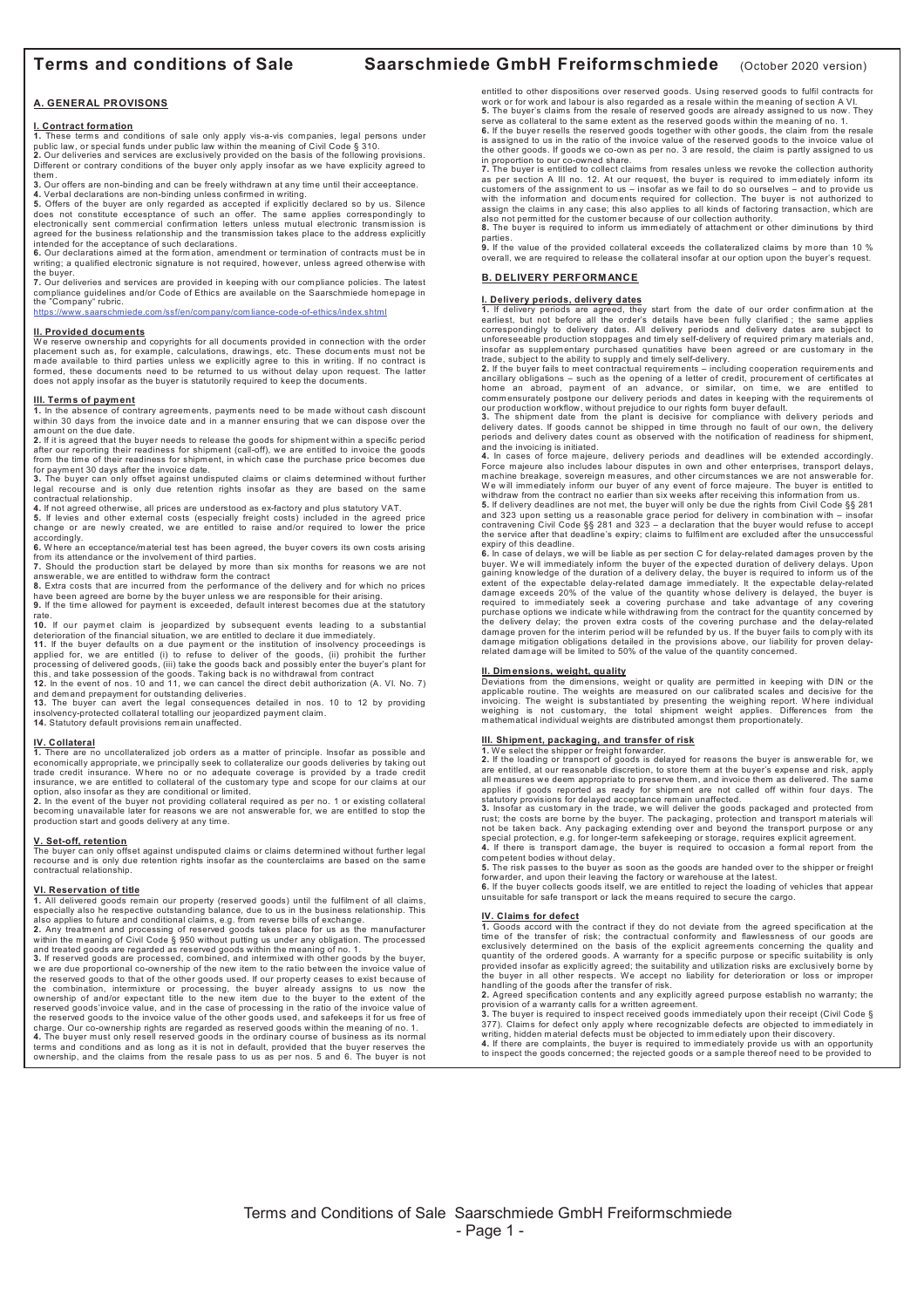# **Terms and conditions of Sale Saarschmiede GmbH Freiformschmiede** (October 2020 version)

#### **A. GENERAL PROVISONS**

#### **I. Contract formation**

1. These terms and conditions of sale only apply vis-a-vis companies, legal persons under<br>public law, or special funds under public law within the meaning of Civil Code § 310.<br>2. Our deliveries and services are exclusively

them. **3.** Our offers are non-binding and can be freely withdrawn at any time until their acceeptance.

4. Verbal declarations are non-binding unless confirmed in writing.<br>5. Offers of the buyer are only regarded as accepted if explicitly declared so by us. Silence<br>does not constitute eccesptance of such an offer. The same a agreed for the business relationship and the transmission takes place to the address explicitly<br>intended for the acceptance of such declarations.<br>**6.** Our declarations aimed at the formation, amendment or termination of co

writing; a qualified electronic signature is not required, however, unless agreed otherwise with<br>the buver

the buyer.<br>**7.** Our deliveries and services are provided in keeping with our compliance policies. The latest<br>compliance guidelines and/or Code of Ethics are available on the Saarschmiede homepage in the "Company" rubric.

https://www.saarschmiede.com/ssf/en/company/comliance-code-of-ethics/index.shtml

#### **II. Provided documents**

We reserve ownership and copyrights for all documents provided in connection with the order placement such as, for example, calculations, drawings, etc. These documents must not be<br>made available to third parties unless we explicitly agree to this in writing. If no contract is<br>formed, these documents need to be r does not apply insofar as the buyer is statutorily required to keep the documents.

## **III. Terms of payment**

**1.** In the absence of contrary agreem ents, payments need to be made without cash discount within 30 days from the invoice date and in a manner ensuring that we can dispose over the

amount on the due date.<br>2. If it is agreed that the buyer needs to release the goods for shipment within a specific period<br>after our reporting their readiness for shipment (call-off), we are entitled to invoice the goods<br>f

for payment 30 days after the invoice date.<br>3. The buyer can only offset against undisputed claims or claims determined without further<br>legal recourse and is only due retention rights insofar as they are based on the same contractual relationship.

**4.** If not agreed otherwise, all prices are understood as ex-factory and plus statutory VAT.<br>**5.** If levies and other external costs (especially freight costs) included in the agreed price<br>change or are newly created, we accordingly.

**6.** W here an ecceptance/material test has been agreed, the buyer covers its own costs arising from its attendance or the involvement of third parties. **7.** Should the production start be delayed by more than six months for reasons we are not

answerable, we are entitled to withdraw form the contract

**8.** Extra costs that are incurred from the performance of the delivery and for which no prices<br>have been agreed are borne by the buyer unless we are responsible for their arising.<br>**9.** If the time allowed for payment is e

rate.<br>**10.** If our paymet claim is jeopardized by subsequent events leading to a substantial

deterioration of the financial situation, we are entitled to declare it due immediately.<br>11. If the buyer defaults on a due payment or the institution of insolvency proceedings is<br>applied for, we are entitled (i) to refuse

processing of delivered goods, (iii) take the goods back and possibly enter the buyer's plant for<br>this, and take possession of the goods. Taking back is no withdrawal from contract<br>12. In the event of nos. 10 and 11, we ca

insolvency-protected collateral totalling our jeopardized payment claim. **14.** Statutory default provisions remain unaffected.

# **IV. Collateral**

1. There are no uncollateralized job orders as a matter of principle. Insofar as possible and<br>economically appropriate, we principally seek to collateralize our goods deliveries by taking out<br>trade credit insurance. Where

option, also insofar as they are conditional or limited.<br>2. In the event of the buyer not providing collateral required as per no. 1 or existing collateral<br>becoming unavailable later for reasons we are not answerable for, production start and goods delivery at any time.

## **V. Set-off, retention**

The buyer can only offset against undisputed claims or claims determined without further legal recourse and is only due retention rights insofar as the counterclaims are based on the same contractual relationship.

#### **VI. Reservation of title**

1. All delivered goods remain our property (reserved goods) until the fulfilment of all claims,<br>especially also he respective outstanding balance, due to us in the business relationship. This<br>also applies to future and con

within the meaning of Civil Code § 950 without putting us under any obligation. The processed<br>and treated goods are regarded as reserved goods within the meaning of no. 1.<br>3. If reserved goods are processed, combined, and

we are due proportional co-ownership of the new item to the ratio between the invoice value of the reserved goods to that of the other goods used. If our property ceases to exist because of the combination, intermixture or processing, the buyer already assigns to us now the ownership of and/or expectant title to the charge. Our co-ownership rights are regarded as reserved goods within the meaning of no. 1.<br>4. The buyer must only resell reserved goods in the ordinary course of business as its normal<br>terms and conditions and as long as ownership, and the claims from the resale pass to us as per nos. 5 and 6. The buyer is not entitled to other dispositions over reserved goods. Using reserved goods to fulfil contracts for work or for work and labour is also regarded as a resale within the meaning of section A VI. **5.** The buyer's claims from the resale of reserved goods are already assigned to us now. They serve as collateral to the same extent as the reserved goods within the meaning of no. 1.<br>6. If the buyer resells the reserved goods together with other goods, the claim from the resale<br>is assigned to us in the ratio of th

the other goods. If goods we co-own as per no. 3 are resold, the claim is partly assigned to us<br>in proportion to our co-owned share.<br>T. The buyer is entitled to collect claims from resales unless we revoke the collection a assign the claims in any case; this also applies to all kinds of factoring transaction, which are<br>also not permitted for the customer because of our collection authority.<br>8. The buyer is required to inform us immediately o

parties. **9.** If the value of the provided collateral exceeds the collateralized claims by more than 10 % overall, we are required to release the collateral insofar at our option upon the buyer's request.

# **B. DELIVERY PERFORM ANCE**

### **I. Delivery periods, delivery dates**

**1.** If delivery periods are agreed, they start from the date of our order confirmation at the<br>earliest, but not before all the order's details have been fully clarified ; the same applies correspondingly to delivery dates. All delivery periods and delivery dates are subject to<br>unforeseeable production stoppages and timely self-delivery of required primary materials and,<br>insofar as supplementary purchased qu

trade, subject to the ability to supply and timely self-delivery.<br>2. If the buyer fails to meet contractual requirements – including cooperation requirements and<br>ancillary obligations – such as the opening of a letter of c

our production workflow, without prejudice to our rights form buyer default.<br>3. The shipment date from the plant is decisive for compliance with delivery periods and<br>delivery dates. If goods cannot be shipped in time throu

Force majeure also includes labour disputes in own and other enterprises, transport delays, machine breakage, sovereign m easures, and other circumstances we are not answerable for.

We will immediately inform our buyer of any event of force majeure. The buyer is entitled to<br>withdraw from the contract no earlier than six weeks after receiving this information from us.<br>5. If delivery deadlines are not m the service after that deadline's expiry; claims to fulfilment are excluded after the unsuccessful

expiry of this deadline.<br>**6.** In case of delays, we will be liable as per section C for delay-related damages proven by the buyer. We will immediately inform the buyer of the expected duration of delivery delays. Upon<br>gaining knowledge of the duration of a delivery delay, the buyer is required to inform us of the<br>extent of the expectable delaythe delivery delay; the proven extra costs of the covering purchase and the delay-related damage proven for the interim period will be refunded by us. If the buyer fails to comply with its damage mitigation obligations detailed in the provisions above, our liability for proven delayrelated damage will be limited to 50% of the value of the quantity concerned.

## **II. Dim ensions, weight, quality**

Deviations from the dimensions, weight or quality are permitted in keeping with DIN or the<br>applicable routine. The weights are measured on our calibrated scales and decisive for the<br>invoicing. The weight is substantiated b

#### **III. Shipment, packaging, and transfer of risk**

**1.** We select the shipper or freight forwarder.<br>**2.** If the loading or transport of goods is delayed for reasons the buyer is answerable for, we

2. If the loading or transport of goods is delayed for reasons the buyer is answerable for, we can<br>are entitled, at our reasonable discretion, to store them at the buyer's expense and risk, apply<br>all measures we deem appro

competent bodies without delay. **5.** The risk passes to the buyer as soon as the goods are handed over to the shipper or freight

forwarder, and upon their leaving the factory or warehouse at the latest. **6.** If the buyer collects goods itself, we are entitled to reject the loading of vehicles that appear unsuitable for safe transport or lack the means required to secure the cargo.

# **IV. Claims for defect**

**1.** Goods accord with the contract if they do not deviate from the agreed specification at the time of the transfer of risk; the contractual conformity and flawlessness of our goods are exclusively determined on the basis of the explicit agreements concerning the quality and quantity of the ordered goods. A warranty for a specific purpose or specific suitability is only<br>provided insofar as explicitly agreed; the suitability and utilization risks are exclusively borne by<br>the buyer in all other

**2.** Agreed specification contents and any explicitly agreed purpose establish no warranty; the provision of a warranty calls for a written agreement. **3.** The buyer is required to inspect received goods immediately upon their receipt (Civil Code §

377). Claims for defect only apply where recognizable defects are objected to immediately in writing, hidden material defects must be objected to imm ediately upon their discovery.

**4.** If there are complaints, the buyer is required to immediately provide us with an opportunity to inspect the goods concerned; the rejected goods or a sample thereof need to be provided to